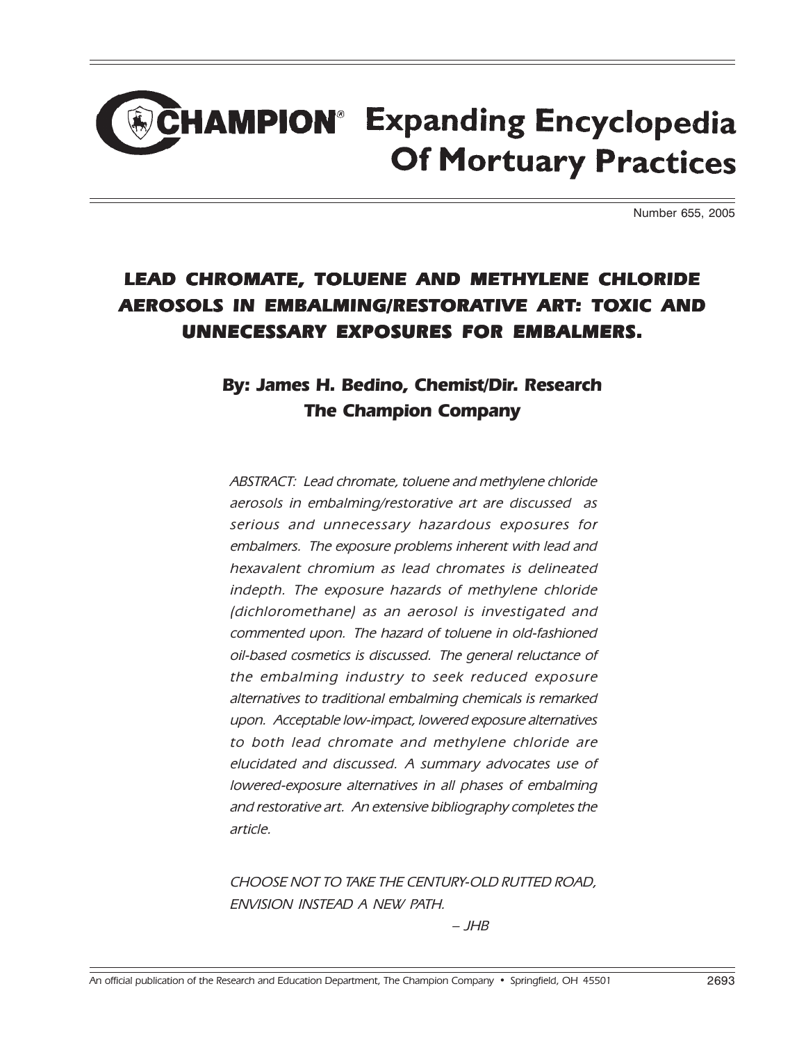## **HAMPION<sup>®</sup> Expanding Encyclopedia Of Mortuary Practices**

Number 655, 2005

## LEAD CHROMATE, TOLUENE AND METHYLENE CHLORIDE AEROSOLS IN EMBALMING/RESTORATIVE ART: TOXIC AND UNNECESSARY EXPOSURES FOR EMBALMERS.

## By: James H. Bedino, Chemist/Dir. Research The Champion Company

ABSTRACT: Lead chromate, toluene and methylene chloride aerosols in embalming/restorative art are discussed as serious and unnecessary hazardous exposures for embalmers. The exposure problems inherent with lead and hexavalent chromium as lead chromates is delineated indepth. The exposure hazards of methylene chloride (dichloromethane) as an aerosol is investigated and commented upon. The hazard of toluene in old-fashioned oil-based cosmetics is discussed. The general reluctance of the embalming industry to seek reduced exposure alternatives to traditional embalming chemicals is remarked upon. Acceptable low-impact, lowered exposure alternatives to both lead chromate and methylene chloride are elucidated and discussed. A summary advocates use of lowered-exposure alternatives in all phases of embalming and restorative art. An extensive bibliography completes the article.

CHOOSE NOT TO TAKE THE CENTURY-OLD RUTTED ROAD, ENVISION INSTEAD A NEW PATH.

 $-$  JHB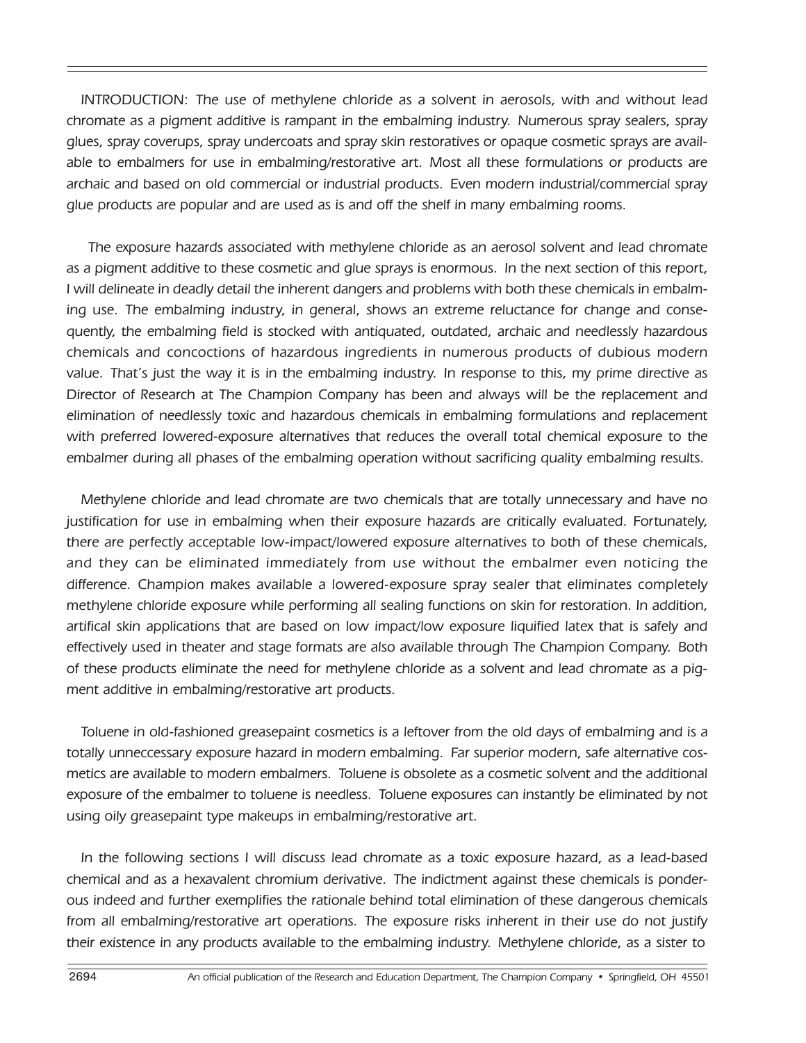INTRODUCTION: The use of methylene chloride as a solvent in aerosols, with and without lead chromate as a pigment additive is rampant in the embalming industry. Numerous spray sealers, spray glues, spray coverups, spray undercoats and spray skin restoratives or opaque cosmetic sprays are available to embalmers for use in embalming/restorative art. Most all these formulations or products are archaic and based on old commercial or industrial products. Even modern industrial/commercial spray glue products are popular and are used as is and off the shelf in many embalming rooms.

The exposure hazards associated with methylene chloride as an aerosol solvent and lead chromate as a pigment additive to these cosmetic and glue sprays is enormous. In the next section of this report, I will delineate in deadly detail the inherent dangers and problems with both these chemicals in embalming use. The embalming industry, in general, shows an extreme reluctance for change and consequently, the embalming field is stocked with antiquated, outdated, archaic and needlessly hazardous chemicals and concoctions of hazardous ingredients in numerous products of dubious modern value. That's just the way it is in the embalming industry. In response to this, my prime directive as Director of Research at The Champion Company has been and always will be the replacement and elimination of needlessly toxic and hazardous chemicals in embalming formulations and replacement with preferred lowered-exposure alternatives that reduces the overall total chemical exposure to the embalmer during all phases of the embalming operation without sacrificing quality embalming results.

Methylene chloride and lead chromate are two chemicals that are totally unnecessary and have no justification for use in embalming when their exposure hazards are critically evaluated. Fortunately, there are perfectly acceptable low-impact/lowered exposure alternatives to both of these chemicals, and they can be eliminated immediately from use without the embalmer even noticing the difference. Champion makes available a lowered-exposure spray sealer that eliminates completely methylene chloride exposure while performing all sealing functions on skin for restoration. In addition, artifical skin applications that are based on low impact/low exposure liquified latex that is safely and effectively used in theater and stage formats are also available through The Champion Company. Both of these products eliminate the need for methylene chloride as a solvent and lead chromate as a pigment additive in embalming/restorative art products.

Toluene in old-fashioned greasepaint cosmetics is a leftover from the old days of embalming and is a totally unneccessary exposure hazard in modern embalming. Far superior modern, safe alternative cosmetics are available to modern embalmers. Toluene is obsolete as a cosmetic solvent and the additional exposure of the embalmer to toluene is needless. Toluene exposures can instantly be eliminated by not using oily greasepaint type makeups in embalming/restorative art.

In the following sections I will discuss lead chromate as a toxic exposure hazard, as a lead-based chemical and as a hexavalent chromium derivative. The indictment against these chemicals is ponderous indeed and further exemplifies the rationale behind total elimination of these dangerous chemicals from all embalming/restorative art operations. The exposure risks inherent in their use do not justify their existence in any products available to the embalming industry. Methylene chloride, as a sister to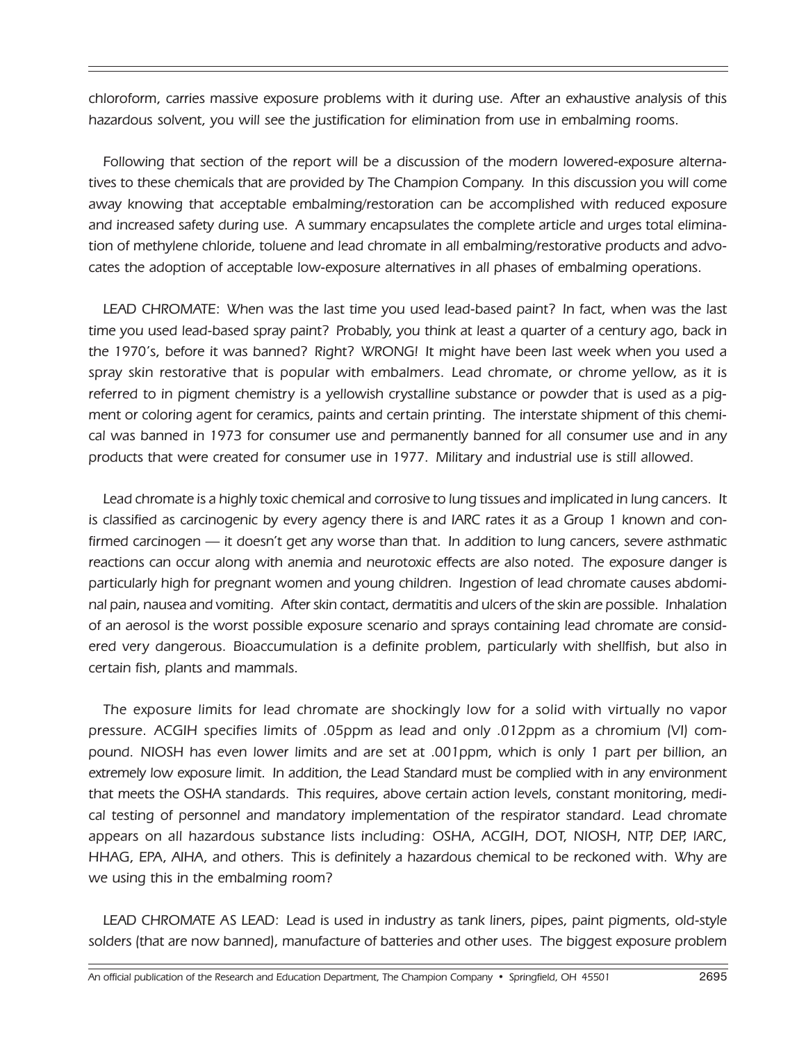chloroform, carries massive exposure problems with it during use. After an exhaustive analysis of this hazardous solvent, you will see the justification for elimination from use in embalming rooms.

Following that section of the report will be a discussion of the modern lowered-exposure alternatives to these chemicals that are provided by The Champion Company. In this discussion you will come away knowing that acceptable embalming/restoration can be accomplished with reduced exposure and increased safety during use. A summary encapsulates the complete article and urges total elimination of methylene chloride, toluene and lead chromate in all embalming/restorative products and advocates the adoption of acceptable low-exposure alternatives in all phases of embalming operations.

LEAD CHROMATE: When was the last time you used lead-based paint? In fact, when was the last time you used lead-based spray paint? Probably, you think at least a quarter of a century ago, back in the 1970's, before it was banned? Right? WRONG! It might have been last week when you used a spray skin restorative that is popular with embalmers. Lead chromate, or chrome yellow, as it is referred to in pigment chemistry is a yellowish crystalline substance or powder that is used as a pigment or coloring agent for ceramics, paints and certain printing. The interstate shipment of this chemical was banned in 1973 for consumer use and permanently banned for all consumer use and in any products that were created for consumer use in 1977. Military and industrial use is still allowed.

Lead chromate is a highly toxic chemical and corrosive to lung tissues and implicated in lung cancers. It is classified as carcinogenic by every agency there is and IARC rates it as a Group 1 known and confirmed carcinogen — it doesn't get any worse than that. In addition to lung cancers, severe asthmatic reactions can occur along with anemia and neurotoxic effects are also noted. The exposure danger is particularly high for pregnant women and young children. Ingestion of lead chromate causes abdominal pain, nausea and vomiting. After skin contact, dermatitis and ulcers of the skin are possible. Inhalation of an aerosol is the worst possible exposure scenario and sprays containing lead chromate are considered very dangerous. Bioaccumulation is a definite problem, particularly with shellfish, but also in certain fish, plants and mammals.

The exposure limits for lead chromate are shockingly low for a solid with virtually no vapor pressure. ACGIH specifies limits of .05ppm as lead and only .012ppm as a chromium (VI) compound. NIOSH has even lower limits and are set at .001ppm, which is only 1 part per billion, an extremely low exposure limit. In addition, the Lead Standard must be complied with in any environment that meets the OSHA standards. This requires, above certain action levels, constant monitoring, medical testing of personnel and mandatory implementation of the respirator standard. Lead chromate appears on all hazardous substance lists including: OSHA, ACGIH, DOT, NIOSH, NTP, DEP, lARC, HHAG, EPA, AIHA, and others. This is definitely a hazardous chemical to be reckoned with. Why are we using this in the embalming room?

LEAD CHROMATE AS LEAD: Lead is used in industry as tank liners, pipes, paint pigments, old-style solders (that are now banned), manufacture of batteries and other uses. The biggest exposure problem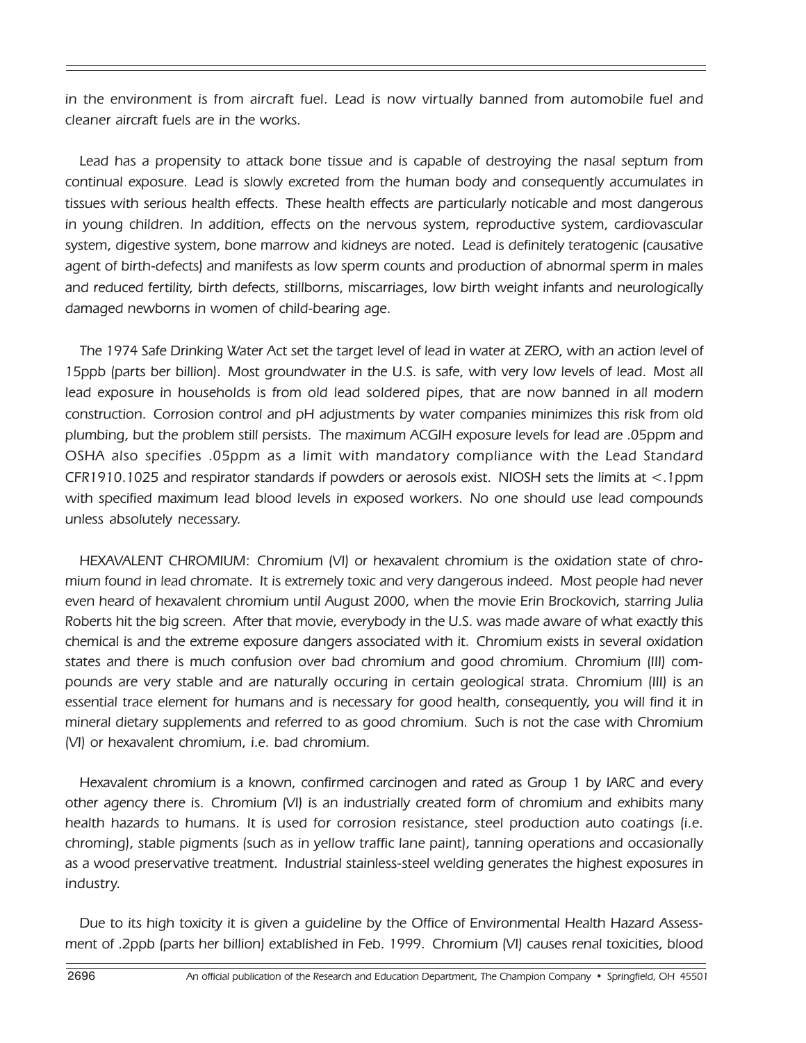in the environment is from aircraft fuel. Lead is now virtually banned from automobile fuel and cleaner aircraft fuels are in the works.

Lead has a propensity to attack bone tissue and is capable of destroying the nasal septum from continual exposure. Lead is slowly excreted from the human body and consequently accumulates in tissues with serious health effects. These health effects are particularly noticable and most dangerous in young children. In addition, effects on the nervous system, reproductive system, cardiovascular system, digestive system, bone marrow and kidneys are noted. Lead is definitely teratogenic (causative agent of birth-defects) and manifests as low sperm counts and production of abnormal sperm in males and reduced fertility, birth defects, stillborns, miscarriages, low birth weight infants and neurologically damaged newborns in women of child-bearing age.

The 1974 Safe Drinking Water Act set the target level of lead in water at ZERO, with an action level of 15ppb (parts ber billion). Most groundwater in the U.S. is safe, with very low levels of lead. Most all lead exposure in households is from old lead soldered pipes, that are now banned in all modern construction. Corrosion control and pH adjustments by water companies minimizes this risk from old plumbing, but the problem still persists. The maximum ACGIH exposure levels for lead are .05ppm and OSHA also specifies .05ppm as a limit with mandatory compliance with the Lead Standard CFR1910.1025 and respirator standards if powders or aerosols exist. NIOSH sets the limits at <.1ppm with specified maximum lead blood levels in exposed workers. No one should use lead compounds unless absolutely necessary.

HEXAVALENT CHROMIUM: Chromium (VI) or hexavalent chromium is the oxidation state of chromium found in lead chromate. It is extremely toxic and very dangerous indeed. Most people had never even heard of hexavalent chromium until August 2000, when the movie Erin Brockovich, starring Julia Roberts hit the big screen. After that movie, everybody in the U.S. was made aware of what exactly this chemical is and the extreme exposure dangers associated with it. Chromium exists in several oxidation states and there is much confusion over bad chromium and good chromium. Chromium (III) compounds are very stable and are naturally occuring in certain geological strata. Chromium (III) is an essential trace element for humans and is necessary for good health, consequently, you will find it in mineral dietary supplements and referred to as good chromium. Such is not the case with Chromium (VI) or hexavalent chromium, i.e. bad chromium.

Hexavalent chromium is a known, confirmed carcinogen and rated as Group 1 by IARC and every other agency there is. Chromium (VI) is an industrially created form of chromium and exhibits many health hazards to humans. It is used for corrosion resistance, steel production auto coatings (i.e. chroming), stable pigments (such as in yellow traffic lane paint), tanning operations and occasionally as a wood preservative treatment. Industrial stainless-steel welding generates the highest exposures in industry.

Due to its high toxicity it is given a guideline by the Office of Environmental Health Hazard Assessment of .2ppb (parts her billion) extablished in Feb. 1999. Chromium (VI) causes renal toxicities, blood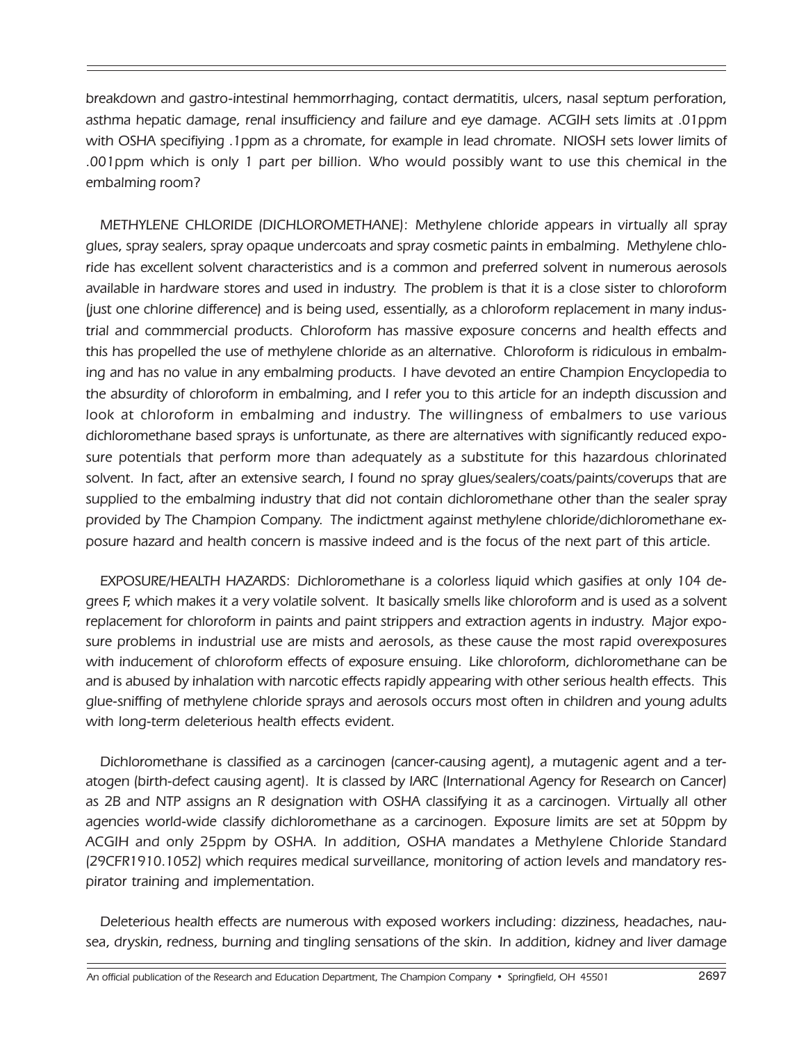breakdown and gastro-intestinal hemmorrhaging, contact dermatitis, ulcers, nasal septum perforation, asthma hepatic damage, renal insufficiency and failure and eye damage. ACGIH sets limits at .01ppm with OSHA specifiying .1ppm as a chromate, for example in lead chromate. NIOSH sets lower limits of .001ppm which is only 1 part per billion. Who would possibly want to use this chemical in the embalming room?

METHYLENE CHLORIDE (DICHLOROMETHANE): Methylene chloride appears in virtually all spray glues, spray sealers, spray opaque undercoats and spray cosmetic paints in embalming. Methylene chloride has excellent solvent characteristics and is a common and preferred solvent in numerous aerosols available in hardware stores and used in industry. The problem is that it is a close sister to chloroform (just one chlorine difference) and is being used, essentially, as a chloroform replacement in many industrial and commmercial products. Chloroform has massive exposure concerns and health effects and this has propelled the use of methylene chloride as an alternative. Chloroform is ridiculous in embalming and has no value in any embalming products. I have devoted an entire Champion Encyclopedia to the absurdity of chloroform in embalming, and I refer you to this article for an indepth discussion and look at chloroform in embalming and industry. The willingness of embalmers to use various dichloromethane based sprays is unfortunate, as there are alternatives with significantly reduced exposure potentials that perform more than adequately as a substitute for this hazardous chlorinated solvent. In fact, after an extensive search, I found no spray gIues/sealers/coats/paints/coverups that are supplied to the embalming industry that did not contain dichloromethane other than the sealer spray provided by The Champion Company. The indictment against methylene chloride/dichloromethane exposure hazard and health concern is massive indeed and is the focus of the next part of this article.

EXPOSURE/HEALTH HAZARDS: Dichloromethane is a colorless liquid which gasifies at only 104 degrees F, which makes it a very volatile solvent. It basically smells like chloroform and is used as a solvent replacement for chloroform in paints and paint strippers and extraction agents in industry. Major exposure problems in industrial use are mists and aerosols, as these cause the most rapid overexposures with inducement of chloroform effects of exposure ensuing. Like chloroform, dichloromethane can be and is abused by inhalation with narcotic effects rapidly appearing with other serious health effects. This glue-sniffing of methylene chloride sprays and aerosols occurs most often in children and young adults with long-term deleterious health effects evident.

Dichloromethane is classified as a carcinogen (cancer-causing agent), a mutagenic agent and a teratogen (birth-defect causing agent). It is classed by IARC (International Agency for Research on Cancer) as 2B and NTP assigns an R designation with OSHA classifying it as a carcinogen. Virtually all other agencies world-wide classify dichloromethane as a carcinogen. Exposure limits are set at 50ppm by ACGIH and only 25ppm by OSHA. In addition, OSHA mandates a Methylene Chloride Standard (29CFR1910.1052) which requires medical surveillance, monitoring of action levels and mandatory respirator training and implementation.

Deleterious health effects are numerous with exposed workers including: dizziness, headaches, nausea, dryskin, redness, burning and tingling sensations of the skin. In addition, kidney and liver damage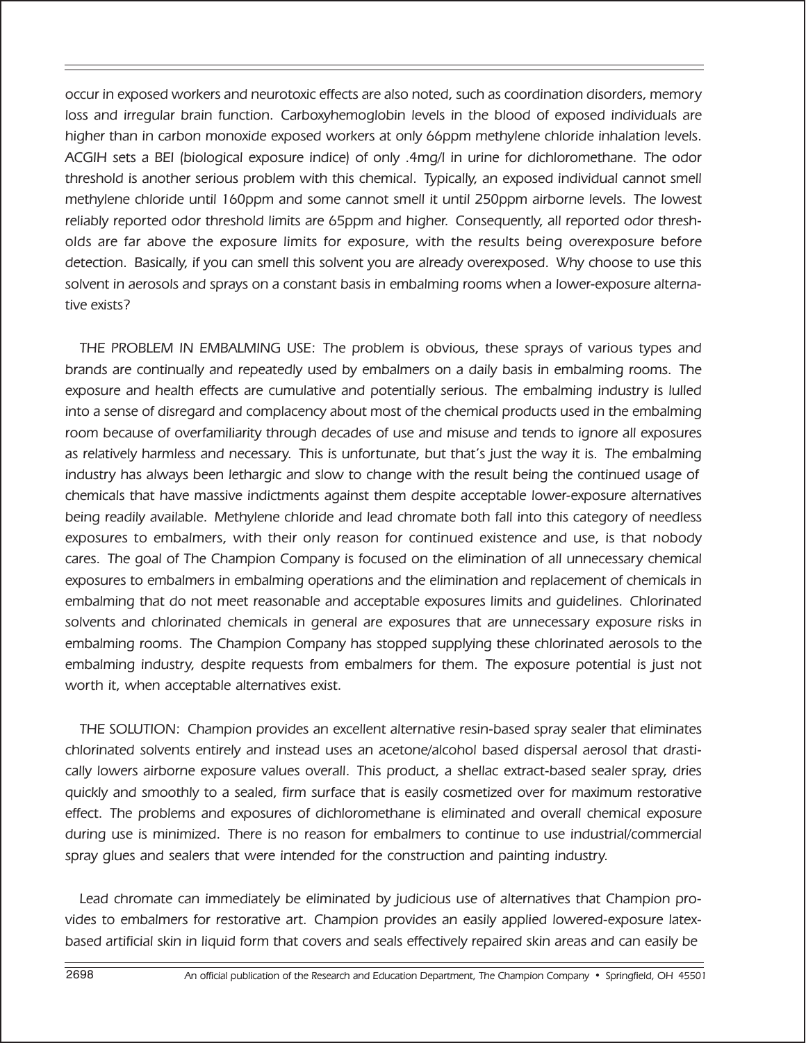occur in exposed workers and neurotoxic effects are also noted, such as coordination disorders, memory loss and irregular brain function. Carboxyhemoglobin levels in the blood of exposed individuals are higher than in carbon monoxide exposed workers at only 66ppm methylene chloride inhalation levels. ACGIH sets a BEI (biological exposure indice) of only .4mg/l in urine for dichloromethane. The odor threshold is another serious problem with this chemical. Typically, an exposed individual cannot smell methylene chloride until 160ppm and some cannot smell it until 250ppm airborne levels. The lowest reliably reported odor threshold limits are 65ppm and higher. Consequently, all reported odor thresholds are far above the exposure limits for exposure, with the results being overexposure before detection. Basically, if you can smell this solvent you are already overexposed. Why choose to use this solvent in aerosols and sprays on a constant basis in embalming rooms when a lower-exposure alternative exists?

THE PROBLEM IN EMBALMING USE: The problem is obvious, these sprays of various types and brands are continually and repeatedly used by embalmers on a daily basis in embalming rooms. The exposure and health effects are cumulative and potentially serious. The embalming industry is lulled into a sense of disregard and complacency about most of the chemical products used in the embalming room because of overfamiliarity through decades of use and misuse and tends to ignore all exposures as relatively harmless and necessary. This is unfortunate, but that's just the way it is. The embalming industry has always been lethargic and slow to change with the result being the continued usage of chemicals that have massive indictments against them despite acceptable lower-exposure alternatives being readily available. Methylene chloride and lead chromate both fall into this category of needless exposures to embalmers, with their only reason for continued existence and use, is that nobody cares. The goal of The Champion Company is focused on the elimination of all unnecessary chemical exposures to embalmers in embalming operations and the elimination and replacement of chemicals in embalming that do not meet reasonable and acceptable exposures limits and guidelines. Chlorinated solvents and chlorinated chemicals in general are exposures that are unnecessary exposure risks in embalming rooms. The Champion Company has stopped supplying these chlorinated aerosols to the embalming industry, despite requests from embalmers for them. The exposure potential is just not worth it, when acceptable alternatives exist.

THE SOLUTION: Champion provides an excellent alternative resin-based spray sealer that eliminates chlorinated solvents entirely and instead uses an acetone/alcohol based dispersal aerosol that drastically lowers airborne exposure values overall. This product, a shellac extract-based sealer spray, dries quickly and smoothly to a sealed, firm surface that is easily cosmetized over for maximum restorative effect. The problems and exposures of dichloromethane is eliminated and overall chemical exposure during use is minimized. There is no reason for embalmers to continue to use industrial/commercial spray glues and sealers that were intended for the construction and painting industry.

Lead chromate can immediately be eliminated by judicious use of alternatives that Champion provides to embalmers for restorative art. Champion provides an easily applied lowered-exposure latexbased artificial skin in liquid form that covers and seals effectively repaired skin areas and can easily be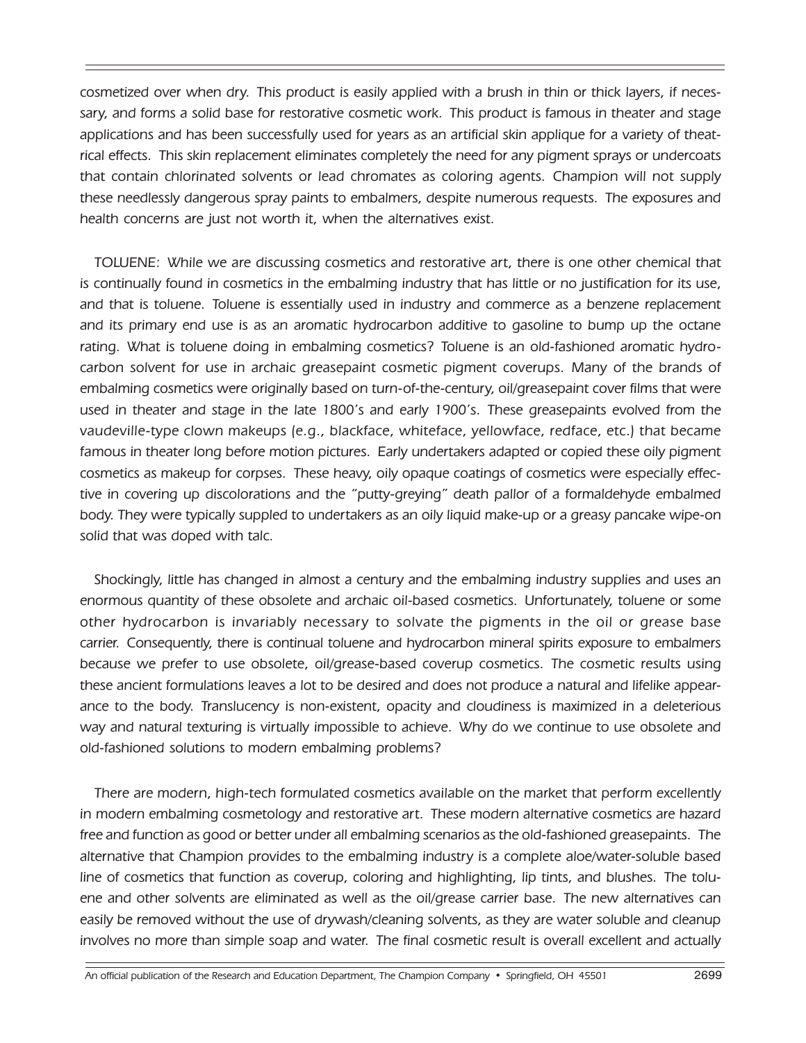cosmetized over when dry. This product is easily applied with a brush in thin or thick layers, if necessary, and forms a solid base for restorative cosmetic work. This product is famous in theater and stage applications and has been successfully used for years as an artificial skin applique for a variety of theatrical effects. This skin replacement eliminates completely the need for any pigment sprays or undercoats that contain chlorinated solvents or lead chromates as coloring agents. Champion will not supply these needlessly dangerous spray paints to embalmers, despite numerous requests. The exposures and health concerns are just not worth it, when the alternatives exist.

TOLUENE: While we are discussing cosmetics and restorative art, there is one other chemical that is continually found in cosmetics in the embalming industry that has little or no justification for its use, and that is toluene. Toluene is essentially used in industry and commerce as a benzene replacement and its primary end use is as an aromatic hydrocarbon additive to gasoline to bump up the octane rating. What is toluene doing in embalming cosmetics? Toluene is an old-fashioned aromatic hydrocarbon solvent for use in archaic greasepaint cosmetic pigment coverups. Many of the brands of embalming cosmetics were originally based on turn-of-the-century, oil/greasepaint cover films that were used in theater and stage in the late 1800's and early 1900's. These greasepaints evolved from the vaudeville-type clown makeups (e.g., blackface, whiteface, yellowface, redface, etc.) that became famous in theater long before motion pictures. Early undertakers adapted or copied these oily pigment cosmetics as makeup for corpses. These heavy, oily opaque coatings of cosmetics were especially effective in covering up discolorations and the "putty-greying" death pallor of a formaldehyde embalmed body. They were typically suppled to undertakers as an oily liquid make-up or a greasy pancake wipe-on solid that was doped with talc.

Shockingly, little has changed in almost a century and the embalming industry supplies and uses an enormous quantity of these obsolete and archaic oil-based cosmetics. Unfortunately, toluene or some other hydrocarbon is invariably necessary to solvate the pigments in the oil or grease base carrier. Consequently, there is continual toluene and hydrocarbon mineral spirits exposure to embalmers because we prefer to use obsolete, oil/grease-based coverup cosmetics. The cosmetic results using these ancient formulations leaves a lot to be desired and does not produce a natural and lifelike appearance to the body. Translucency is non-existent, opacity and cloudiness is maximized in a deleterious way and natural texturing is virtually impossible to achieve. Why do we continue to use obsolete and old-fashioned solutions to modern embalming problems?

There are modern, high-tech formulated cosmetics available on the market that perform excellently in modern embalming cosmetology and restorative art. These modern alternative cosmetics are hazard free and function as good or better under all embalming scenarios as the old-fashioned greasepaints. The alternative that Champion provides to the embalming industry is a complete aloe/water-soluble based line of cosmetics that function as coverup, coloring and highlighting, lip tints, and blushes. The toluene and other solvents are eliminated as well as the oil/grease carrier base. The new alternatives can easily be removed without the use of drywash/cleaning solvents, as they are water soluble and cleanup involves no more than simple soap and water. The final cosmetic result is overall excellent and actually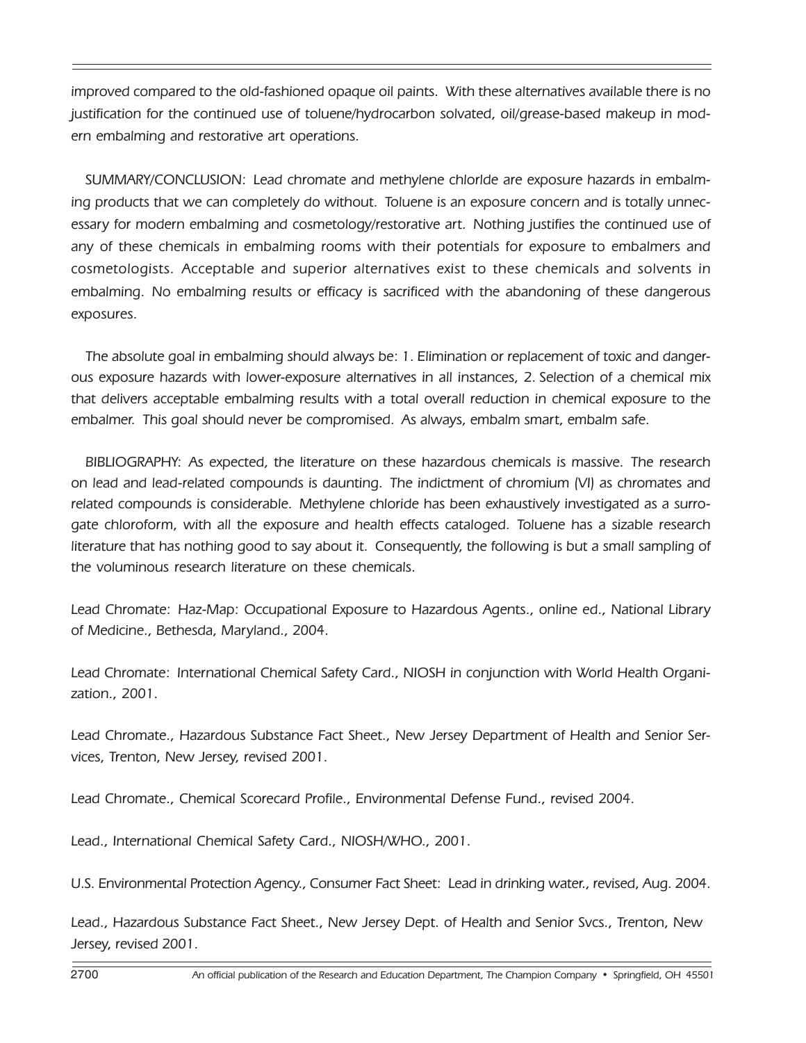improved compared to the old-fashioned opaque oil paints. With these alternatives available there is no justification for the continued use of toluene/hydrocarbon solvated, oil/grease-based makeup in modern embalming and restorative art operations.

SUMMARY/CONCLUSION: Lead chromate and methylene chlorlde are exposure hazards in embalming products that we can completely do without. Toluene is an exposure concern and is totally unnecessary for modern embalming and cosmetology/restorative art. Nothing justifies the continued use of any of these chemicals in embalming rooms with their potentials for exposure to embalmers and cosmetologists. Acceptable and superior alternatives exist to these chemicals and solvents in embalming. No embalming results or efficacy is sacrificed with the abandoning of these dangerous exposures.

The absolute goal in embalming should always be: 1. Elimination or replacement of toxic and dangerous exposure hazards with lower-exposure alternatives in all instances, 2. Selection of a chemical mix that delivers acceptable embalming results with a total overall reduction in chemical exposure to the embalmer. This goal should never be compromised. As always, embalm smart, embalm safe.

BIBLIOGRAPHY: As expected, the literature on these hazardous chemicals is massive. The research on lead and lead-related compounds is daunting. The indictment of chromium (VI) as chromates and related compounds is considerable. Methylene chloride has been exhaustively investigated as a surrogate chloroform, with all the exposure and health effects cataloged. Toluene has a sizable research literature that has nothing good to say about it. Consequently, the following is but a small sampling of the voluminous research literature on these chemicals.

Lead Chromate: Haz-Map: Occupational Exposure to Hazardous Agents., online ed., National Library of Medicine., Bethesda, Maryland., 2004.

Lead Chromate: International Chemical Safety Card., NIOSH in conjunction with World Health Organization., 2001.

Lead Chromate., Hazardous Substance Fact Sheet., New Jersey Department of Health and Senior Services, Trenton, New Jersey, revised 2001.

Lead Chromate., Chemical Scorecard Profile., Environmental Defense Fund., revised 2004.

Lead., International Chemical Safety Card., NIOSH/WHO., 2001.

U.S. Environmental Protection Agency., Consumer Fact Sheet: Lead in drinking water., revised, Aug. 2004.

Lead., Hazardous Substance Fact Sheet., New Jersey Dept. of Health and Senior Svcs., Trenton, New Jersey, revised 2001.